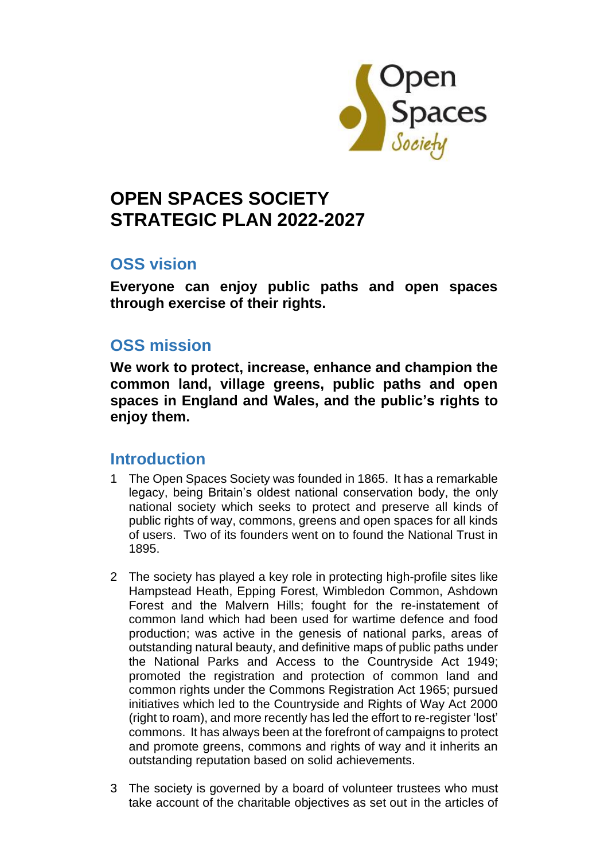

# **OPEN SPACES SOCIETY STRATEGIC PLAN 2022-2027**

## **OSS vision**

**Everyone can enjoy public paths and open spaces through exercise of their rights.**

## **OSS mission**

**We work to protect, increase, enhance and champion the common land, village greens, public paths and open spaces in England and Wales, and the public's rights to enjoy them.**

## **Introduction**

- 1 The Open Spaces Society was founded in 1865. It has a remarkable legacy, being Britain's oldest national conservation body, the only national society which seeks to protect and preserve all kinds of public rights of way, commons, greens and open spaces for all kinds of users. Two of its founders went on to found the National Trust in 1895.
- 2 The society has played a key role in protecting high-profile sites like Hampstead Heath, Epping Forest, Wimbledon Common, Ashdown Forest and the Malvern Hills; fought for the re-instatement of common land which had been used for wartime defence and food production; was active in the genesis of national parks, areas of outstanding natural beauty, and definitive maps of public paths under the National Parks and Access to the Countryside Act 1949; promoted the registration and protection of common land and common rights under the Commons Registration Act 1965; pursued initiatives which led to the Countryside and Rights of Way Act 2000 (right to roam), and more recently has led the effort to re-register 'lost' commons. It has always been at the forefront of campaigns to protect and promote greens, commons and rights of way and it inherits an outstanding reputation based on solid achievements.
- 3 The society is governed by a board of volunteer trustees who must take account of the charitable objectives as set out in the articles of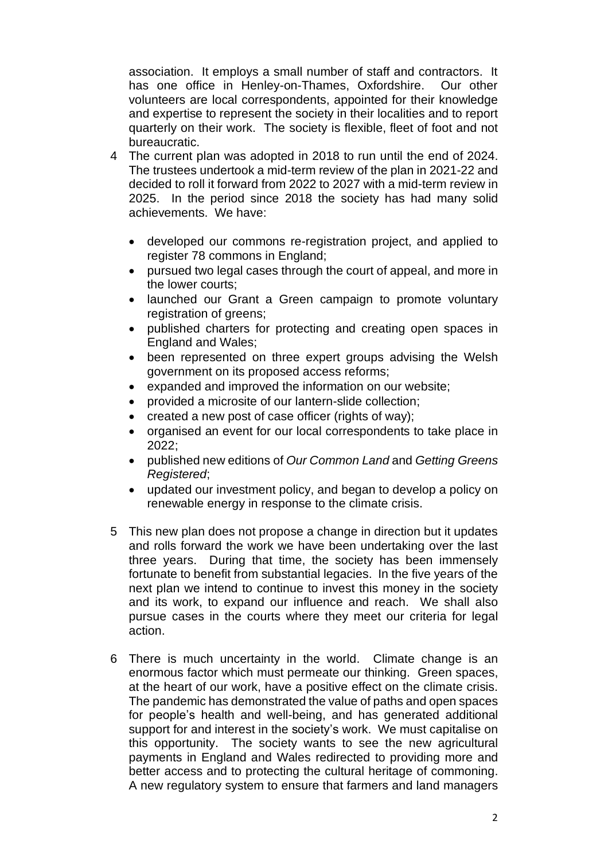association. It employs a small number of staff and contractors. It has one office in Henley-on-Thames, Oxfordshire. Our other volunteers are local correspondents, appointed for their knowledge and expertise to represent the society in their localities and to report quarterly on their work. The society is flexible, fleet of foot and not bureaucratic.

- 4 The current plan was adopted in 2018 to run until the end of 2024. The trustees undertook a mid-term review of the plan in 2021-22 and decided to roll it forward from 2022 to 2027 with a mid-term review in 2025. In the period since 2018 the society has had many solid achievements. We have:
	- developed our commons re-registration project, and applied to register 78 commons in England;
	- pursued two legal cases through the court of appeal, and more in the lower courts;
	- launched our Grant a Green campaign to promote voluntary registration of greens;
	- published charters for protecting and creating open spaces in England and Wales;
	- been represented on three expert groups advising the Welsh government on its proposed access reforms;
	- expanded and improved the information on our website;
	- provided a microsite of our lantern-slide collection;
	- created a new post of case officer (rights of way);
	- organised an event for our local correspondents to take place in 2022;
	- published new editions of *Our Common Land* and *Getting Greens Registered*;
	- updated our investment policy, and began to develop a policy on renewable energy in response to the climate crisis.
- 5 This new plan does not propose a change in direction but it updates and rolls forward the work we have been undertaking over the last three years. During that time, the society has been immensely fortunate to benefit from substantial legacies. In the five years of the next plan we intend to continue to invest this money in the society and its work, to expand our influence and reach. We shall also pursue cases in the courts where they meet our criteria for legal action.
- 6 There is much uncertainty in the world. Climate change is an enormous factor which must permeate our thinking. Green spaces, at the heart of our work, have a positive effect on the climate crisis. The pandemic has demonstrated the value of paths and open spaces for people's health and well-being, and has generated additional support for and interest in the society's work. We must capitalise on this opportunity. The society wants to see the new agricultural payments in England and Wales redirected to providing more and better access and to protecting the cultural heritage of commoning. A new regulatory system to ensure that farmers and land managers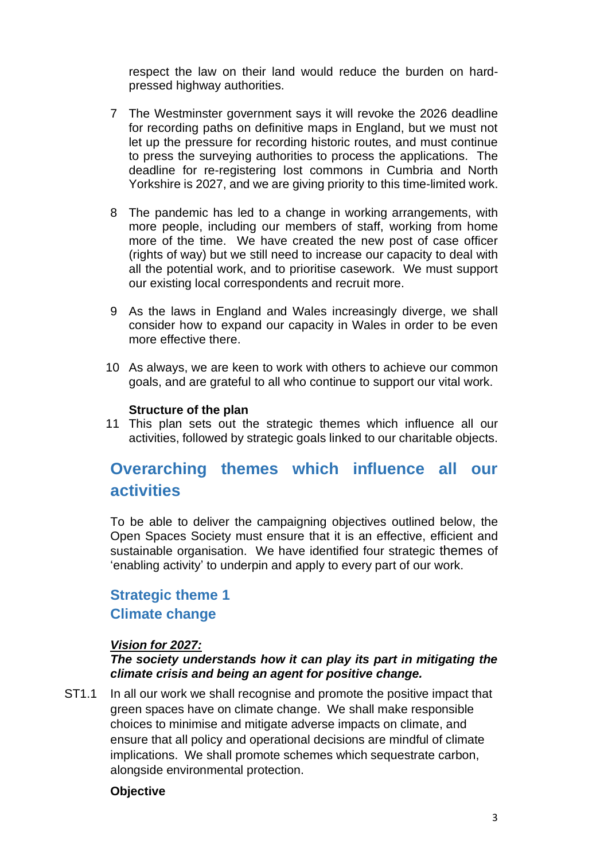respect the law on their land would reduce the burden on hardpressed highway authorities.

- 7 The Westminster government says it will revoke the 2026 deadline for recording paths on definitive maps in England, but we must not let up the pressure for recording historic routes, and must continue to press the surveying authorities to process the applications. The deadline for re-registering lost commons in Cumbria and North Yorkshire is 2027, and we are giving priority to this time-limited work.
- 8 The pandemic has led to a change in working arrangements, with more people, including our members of staff, working from home more of the time. We have created the new post of case officer (rights of way) but we still need to increase our capacity to deal with all the potential work, and to prioritise casework. We must support our existing local correspondents and recruit more.
- 9 As the laws in England and Wales increasingly diverge, we shall consider how to expand our capacity in Wales in order to be even more effective there.
- 10 As always, we are keen to work with others to achieve our common goals, and are grateful to all who continue to support our vital work.

#### **Structure of the plan**

11 This plan sets out the strategic themes which influence all our activities, followed by strategic goals linked to our charitable objects.

# **Overarching themes which influence all our activities**

To be able to deliver the campaigning objectives outlined below, the Open Spaces Society must ensure that it is an effective, efficient and sustainable organisation. We have identified four strategic themes of 'enabling activity' to underpin and apply to every part of our work.

## **Strategic theme 1 Climate change**

#### *Vision for 2027:*

#### *The society understands how it can play its part in mitigating the climate crisis and being an agent for positive change.*

ST1.1 In all our work we shall recognise and promote the positive impact that green spaces have on climate change. We shall make responsible choices to minimise and mitigate adverse impacts on climate, and ensure that all policy and operational decisions are mindful of climate implications. We shall promote schemes which sequestrate carbon, alongside environmental protection.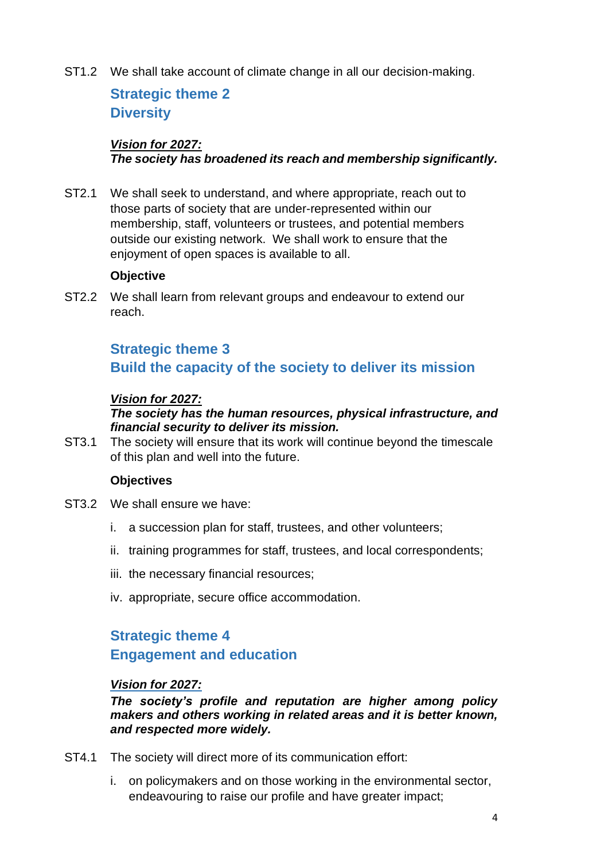ST1.2 We shall take account of climate change in all our decision-making.

# **Strategic theme 2 Diversity**

### *Vision for 2027: The society has broadened its reach and membership significantly.*

ST2.1 We shall seek to understand, and where appropriate, reach out to those parts of society that are under-represented within our membership, staff, volunteers or trustees, and potential members outside our existing network. We shall work to ensure that the enjoyment of open spaces is available to all.

### **Objective**

ST2.2 We shall learn from relevant groups and endeavour to extend our reach.

# **Strategic theme 3 Build the capacity of the society to deliver its mission**

### *Vision for 2027:*

### *The society has the human resources, physical infrastructure, and financial security to deliver its mission.*

ST3.1 The society will ensure that its work will continue beyond the timescale of this plan and well into the future.

#### **Objectives**

- ST3.2 We shall ensure we have:
	- i. a succession plan for staff, trustees, and other volunteers;
	- ii. training programmes for staff, trustees, and local correspondents;
	- iii. the necessary financial resources;
	- iv. appropriate, secure office accommodation.

# **Strategic theme 4 Engagement and education**

#### *Vision for 2027:*

*The society's profile and reputation are higher among policy makers and others working in related areas and it is better known, and respected more widely.*

- ST4.1 The society will direct more of its communication effort:
	- i. on policymakers and on those working in the environmental sector, endeavouring to raise our profile and have greater impact;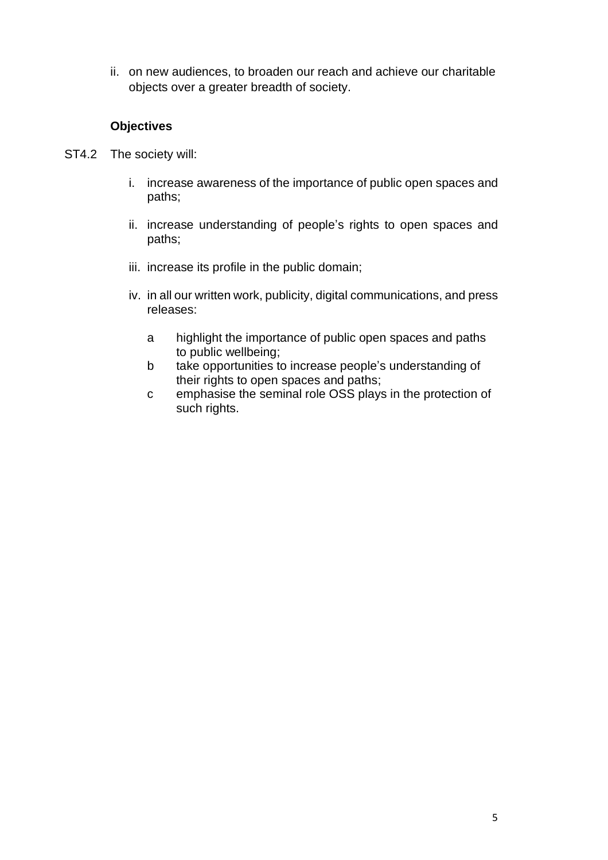ii. on new audiences, to broaden our reach and achieve our charitable objects over a greater breadth of society.

- ST4.2 The society will:
	- i. increase awareness of the importance of public open spaces and paths;
	- ii. increase understanding of people's rights to open spaces and paths;
	- iii. increase its profile in the public domain;
	- iv. in all our written work, publicity, digital communications, and press releases:
		- a highlight the importance of public open spaces and paths to public wellbeing;
		- b take opportunities to increase people's understanding of their rights to open spaces and paths;
		- c emphasise the seminal role OSS plays in the protection of such rights.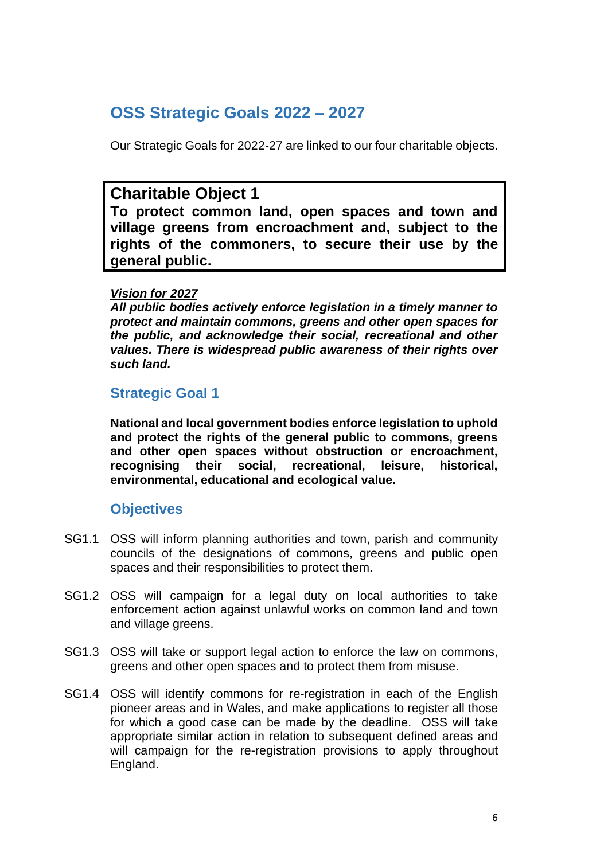# **OSS Strategic Goals 2022 – 2027**

Our Strategic Goals for 2022-27 are linked to our four charitable objects.

## **Charitable Object 1**

**To protect common land, open spaces and town and village greens from encroachment and, subject to the rights of the commoners, to secure their use by the general public.**

### *Vision for 2027*

*All public bodies actively enforce legislation in a timely manner to protect and maintain commons, greens and other open spaces for the public, and acknowledge their social, recreational and other values. There is widespread public awareness of their rights over such land.*

### **Strategic Goal 1**

**National and local government bodies enforce legislation to uphold and protect the rights of the general public to commons, greens and other open spaces without obstruction or encroachment, recognising their social, recreational, leisure, historical, environmental, educational and ecological value.**

- SG1.1 OSS will inform planning authorities and town, parish and community councils of the designations of commons, greens and public open spaces and their responsibilities to protect them.
- SG1.2 OSS will campaign for a legal duty on local authorities to take enforcement action against unlawful works on common land and town and village greens.
- SG1.3 OSS will take or support legal action to enforce the law on commons, greens and other open spaces and to protect them from misuse.
- SG1.4 OSS will identify commons for re-registration in each of the English pioneer areas and in Wales, and make applications to register all those for which a good case can be made by the deadline. OSS will take appropriate similar action in relation to subsequent defined areas and will campaign for the re-registration provisions to apply throughout England.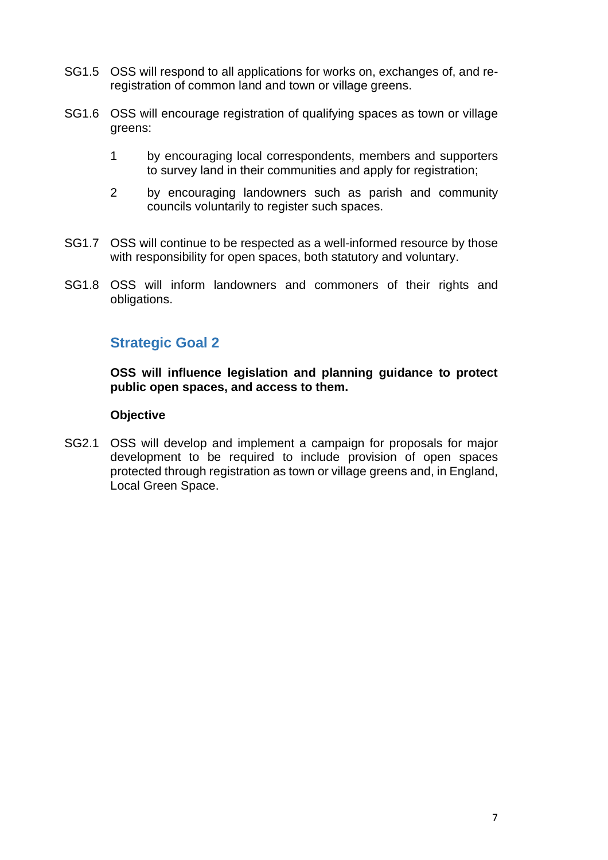- SG1.5 OSS will respond to all applications for works on, exchanges of, and reregistration of common land and town or village greens.
- SG1.6 OSS will encourage registration of qualifying spaces as town or village greens:
	- 1 by encouraging local correspondents, members and supporters to survey land in their communities and apply for registration;
	- 2 by encouraging landowners such as parish and community councils voluntarily to register such spaces.
- SG1.7 OSS will continue to be respected as a well-informed resource by those with responsibility for open spaces, both statutory and voluntary.
- SG1.8 OSS will inform landowners and commoners of their rights and obligations.

## **Strategic Goal 2**

**OSS will influence legislation and planning guidance to protect public open spaces, and access to them.**

#### **Objective**

SG2.1 OSS will develop and implement a campaign for proposals for major development to be required to include provision of open spaces protected through registration as town or village greens and, in England, Local Green Space.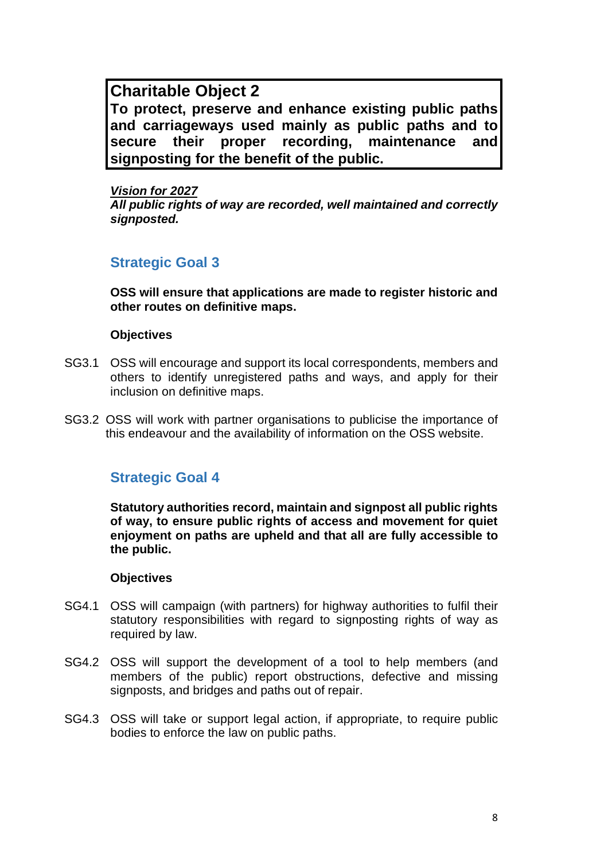**Charitable Object 2 To protect, preserve and enhance existing public paths and carriageways used mainly as public paths and to secure their proper recording, maintenance and signposting for the benefit of the public.**

*Vision for 2027 All public rights of way are recorded, well maintained and correctly signposted.*

## **Strategic Goal 3**

**OSS will ensure that applications are made to register historic and other routes on definitive maps.**

#### **Objectives**

- SG3.1 OSS will encourage and support its local correspondents, members and others to identify unregistered paths and ways, and apply for their inclusion on definitive maps.
- SG3.2 OSS will work with partner organisations to publicise the importance of this endeavour and the availability of information on the OSS website.

### **Strategic Goal 4**

**Statutory authorities record, maintain and signpost all public rights of way, to ensure public rights of access and movement for quiet enjoyment on paths are upheld and that all are fully accessible to the public.**

- SG4.1 OSS will campaign (with partners) for highway authorities to fulfil their statutory responsibilities with regard to signposting rights of way as required by law.
- SG4.2 OSS will support the development of a tool to help members (and members of the public) report obstructions, defective and missing signposts, and bridges and paths out of repair.
- SG4.3 OSS will take or support legal action, if appropriate, to require public bodies to enforce the law on public paths.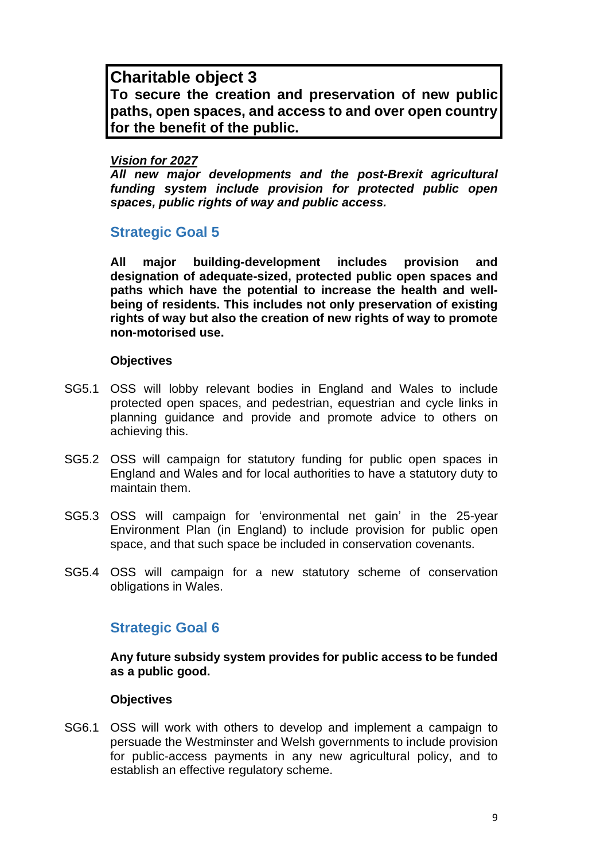## **Charitable object 3**

**To secure the creation and preservation of new public paths, open spaces, and access to and over open country for the benefit of the public.**

#### *Vision for 2027*

*All new major developments and the post-Brexit agricultural funding system include provision for protected public open spaces, public rights of way and public access.*

## **Strategic Goal 5**

**All major building-development includes provision and designation of adequate-sized, protected public open spaces and paths which have the potential to increase the health and wellbeing of residents. This includes not only preservation of existing rights of way but also the creation of new rights of way to promote non-motorised use.**

### **Objectives**

- SG5.1 OSS will lobby relevant bodies in England and Wales to include protected open spaces, and pedestrian, equestrian and cycle links in planning guidance and provide and promote advice to others on achieving this.
- SG5.2 OSS will campaign for statutory funding for public open spaces in England and Wales and for local authorities to have a statutory duty to maintain them.
- SG5.3 OSS will campaign for 'environmental net gain' in the 25-year Environment Plan (in England) to include provision for public open space, and that such space be included in conservation covenants.
- SG5.4 OSS will campaign for a new statutory scheme of conservation obligations in Wales.

## **Strategic Goal 6**

**Any future subsidy system provides for public access to be funded as a public good.**

### **Objectives**

SG6.1 OSS will work with others to develop and implement a campaign to persuade the Westminster and Welsh governments to include provision for public-access payments in any new agricultural policy, and to establish an effective regulatory scheme.